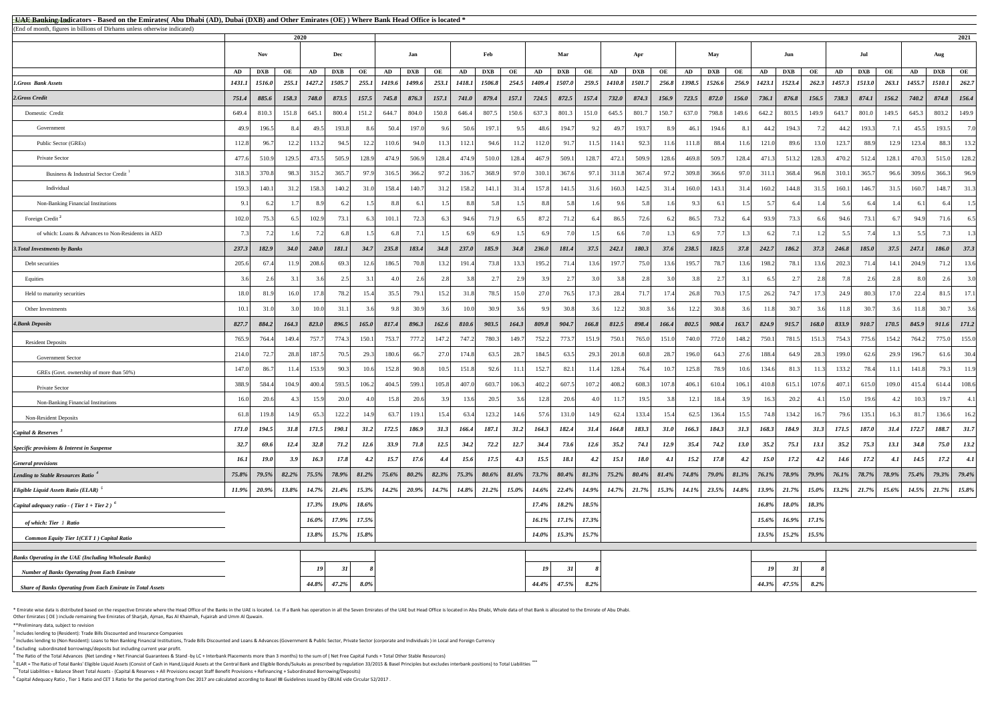<sup>5</sup> ELAR = The Ratio of Total Banks' Eligible Liquid Assets (Consist of Cash in Hand,Liquid Assets at the Central Bank and Eligible Bonds/Sukuks as prescribed by regulation 33/2015 & Basel Principles but excludes interbank **\*\*\***Total Liabilities = Balance Sheet Total Assets - (Capital & Reserves + All Provisions except Staff Benefit Provisions + Refinancing + Subordinated Borrowing/Deposits)

<sup>6</sup> Capital Adequacy Ratio , Tier 1 Ratio and CET 1 Ratio for the period starting from Dec 2017 are calculated according to Basel III Guidelines issued by CBUAE vide Circular 52/2017 .

\* Emirate wise data is distributed based on the respective Emirate where the Head Office of the Banks in the UAE is located. I.e. If a Bank has operation in all the Seven Emirates of the UAE but Head Office is located in A Other Emirates ( OE ) include remaining five Emirates of Sharjah, Ajman, Ras Al Khaimah, Fujairah and Umm Al Quwain.

| <b>All E Banking Indicators - Based on the Emirates</b> (Abu Dhabi (AD), Dubai (DXB) and Other Emirates (OE)) Where Bank Head Office is located *<br>(End of month, figures in billions of Dirhams unless otherwise indicated) |             |            |             |        |              |          |          |            |          |              |            |             |                  |             |          |              |             |          |        |            |             |             |                                                                                                                                                                         |          |             |            |            |          |                   |       |
|--------------------------------------------------------------------------------------------------------------------------------------------------------------------------------------------------------------------------------|-------------|------------|-------------|--------|--------------|----------|----------|------------|----------|--------------|------------|-------------|------------------|-------------|----------|--------------|-------------|----------|--------|------------|-------------|-------------|-------------------------------------------------------------------------------------------------------------------------------------------------------------------------|----------|-------------|------------|------------|----------|-------------------|-------|
|                                                                                                                                                                                                                                |             |            | 2020        |        |              |          |          |            |          |              |            |             |                  |             |          |              |             |          |        |            |             |             |                                                                                                                                                                         |          |             |            |            |          |                   | 2021  |
|                                                                                                                                                                                                                                |             | <b>Nov</b> |             |        | Dec          |          |          | Jan        |          |              | Feb        |             |                  | Mar         |          |              | Apr         |          |        | <b>May</b> |             |             | Jun                                                                                                                                                                     |          |             | Jul        |            |          | Aug               |       |
|                                                                                                                                                                                                                                | AD          | <b>DXB</b> | OE          | AD     | <b>DXB</b>   | OE       | AD       | <b>DXB</b> | OE       | AD           | <b>DXB</b> | OE          | AD               | <b>DXB</b>  | OE       | AD           | <b>DXB</b>  | OE       | AD     | <b>DXB</b> | OE          | AD          | <b>DXB</b>                                                                                                                                                              | OE       | AD          | <b>DXB</b> | OE         | AD       | <b>DXB</b>        | OE    |
| <b>1.Gross Bank Assets</b>                                                                                                                                                                                                     | 1431.1      | 1516.0     | 255.1       | 1427.2 | 1505.7       | 255.1    | 1419.6   | 1499.6     | 253.1    | 1418.1       | 1506.8     | 254.5       | 1409.4           | 1507.0      |          | 259.5 1410.8 | 1501.7      | 256.8    | 1398.5 | 1526.6     | 256.9       | 1423.1      | 1523.4                                                                                                                                                                  | 262.3    | 1457.3      | 1513.0     | 263.1      | 1455.7   | 1510.1            | 262.7 |
| 2.Gross Credit                                                                                                                                                                                                                 | 751.4       | 885.6      | 158.3       | 748.0  | 873.5        | 157.5    | 745.8    | 876.3      | 157.1    | <b>741.0</b> | 879.4      | 157.1       | 724.5            | 872.5       | 157.4    | 732.0        | 874.3       | 156.9    | 723.5  | 872.0      | 156.0       | 736.1       | 876.8                                                                                                                                                                   | 156.5    | 738.3       | 874.1      | 156.2      | 740.2    | 874.8             | 156.4 |
| Domestic Credit                                                                                                                                                                                                                | 649.4       | 810.3      | 151.8       | 645.1  | 800.4        | 151.2    | 644.7    | 804.0      | 150.8    | 646.4        | 807.5      | 150.6       | 637.3            | 801.3       | 151.0    | 645.5        | 801.7       | 150.7    | 637.0  | 798.8      | 149.6       | 642.2       | 803.5                                                                                                                                                                   | 149.9    | 643.7       | 801.0      | 149.5      | 645.3    | 803.2             | 149.9 |
| Government                                                                                                                                                                                                                     | 49.9        | 196.5      |             | 49.5   | 193.8        |          | 50.4     | 197.0      |          | 50.6         | 197.1      |             | 48.6             | 194.7       | 9.2      | 49.7         | 193.7       | 89       |        | 194.6      |             | 44.2        | 194.3                                                                                                                                                                   |          |             | 193.3      |            | 45.5     | 193.5             | 7.0   |
| Public Sector (GREs)                                                                                                                                                                                                           | 112.8       | 96.7       | 12.2        | 113.2  | 94.5         | 12.2     | 110.6    | 94.0       | 11.3     | 112.1        | 94.6       |             | 112.0            | 91.7        | 11.5     | 114.1        | 92.3        | 11.6     | 111.8  | 88.4       | 11.6        | 121.0       | 89.6                                                                                                                                                                    | 13.0     | 123.7       | 88.9       | 12.9       | 123.4    | 88.3              | 13.2  |
| Private Sector                                                                                                                                                                                                                 | 477.6       | 510.9      | 129.5       | 473.5  | 505.9        | 128.9    | 474.9    | 506.9      | 128.4    | 474.9        | 510.0      | 128.4       | 467.9            | 509.1       | 128.7    | 472.1        | 509.9       | 128.6    | 469.8  | 509.7      | 128.4       | 471.3       | 513.2                                                                                                                                                                   | 128.3    | 470.2       | 512.4      | 128.1      | 470.3    | 515.0             | 128.2 |
| Business & Industrial Sector Credit                                                                                                                                                                                            | 318.3       | 370.8      | 98.3        | 315.2  | 365.7        | 97.9     | 316.5    | 366.2      | 97.2     | 316.7        | 368.9      | 97.0        | 310.1            | 367.6       | 97.1     | 311.8        | 367.4       | 97.2     | 309.8  | 366.6      | 97.0        | 311.        | 368.4                                                                                                                                                                   | 96.8     | 310.1       | 365.7      | 96.6       | 309.6    | 366.3             | 96.9  |
| Individual                                                                                                                                                                                                                     | 159.3       | 140.1      | 31.         | 158.3  | 140.2        | 31.0     | 158.4    | 140.7      | 31.2     | 158.2        | 141.1      | 31.4        | 157.8            | 141.5       | 31.6     | 160.3        | 142.5       | 31.4     | 160.0  | 143.1      |             | 160.2       | 144.8                                                                                                                                                                   | 31.5     | 160.1       | 146.7      | 31.5       | 160.7    | 148.7             | 31.3  |
| Non-Banking Financial Institutions                                                                                                                                                                                             | 91          |            |             | 8.9    | -6.2         | 1.5      | 8.8      | 6.1        |          | 8.8          | 5.8        |             | 8.8              | 5.8         | 1.6      | 9.6          | 5.8         | 1.6      | 93     | 6.1        |             |             | 6.41                                                                                                                                                                    | 1.4      | 5.61        |            |            | 6.1      | 6.4               | 1.5   |
| Foreign Credit <sup>2</sup>                                                                                                                                                                                                    | 102.0       | 75.3       |             | 102.9  | 73.1         |          | 101.1    | 72.3       |          | 94.6         | 71.9       | 6.5         | 87.2             | 71.2        | 6.4      | 86.5         | 72.6        |          | 86.5   | 73.2       |             | 93.9        | 73.3                                                                                                                                                                    |          | 94.6        | 73.1       |            | 94.9     | 71.6              | 6.5   |
| of which: Loans & Advances to Non-Residents in AED                                                                                                                                                                             |             |            |             |        |              |          |          |            |          |              |            |             | 6.9              |             | 1.51     |              |             |          |        |            |             |             |                                                                                                                                                                         |          |             |            |            |          |                   |       |
| <b>3. Total Investments by Banks</b>                                                                                                                                                                                           | 237.3       | 182.9      | 34.0        | 240.0  | <i>181.1</i> | 34.7     | 235.8    | 183.4      | 34.8     | 237.0        | 185.9      | 34.8        | 236.0            | 181.4       | 37.5     | 242.1        | 180.3       | 37.6     | 238.5  | 182.5      | 37.8        | 242.7       | 186.2                                                                                                                                                                   | 37.3     | 246.8       | 185.0      | 37.5       | 247.1    | 186.0             | 37.3  |
| Debt securities                                                                                                                                                                                                                | 205.6       | 67.4       |             | 208.6  | 69.3         | 12.6     | 186.5    | 70.8       | 13.2     | 191.4        | 73.8       | 13.3        | 195.2            | 71.4        | 13.6     | 197.7        | 75.0        | 13.6     | 195.7  | 78.7       | 13.6        | 198.2       | 78.1                                                                                                                                                                    | 13.6     | 202.3       |            | 14.1       | 204.9    | 71.2              | 13.6  |
| Equities                                                                                                                                                                                                                       |             |            |             |        |              |          |          |            |          |              |            |             | 3.9 <sub>l</sub> |             |          |              | 2.8         | 3 Q      |        |            |             |             |                                                                                                                                                                         |          |             |            |            |          |                   |       |
| Held to maturity securities                                                                                                                                                                                                    | 18.0        | 81.9       | 16.0        | 17.8   | 78.2         | 15.4     | 35.5     | 79.1       | 15.2     | 31.8         | 78.5       | 15.0        | 27.0             | 76.5        | 17.3     | 28.4         | 71.7        | 17.4     | 26.8   | 70.3       |             | 26.2        | 74.7                                                                                                                                                                    | 17.3     | 24.9        | 80.3       | 17.0       | 22.4     | 81.5              | 17.1  |
| Other Investments                                                                                                                                                                                                              | 10.1        | 31.0       |             | 10.0   | 31.1         |          | 9.8      | 30.9       |          | 10.0         | 30.9       |             | 9.9              | 30.8        | 3.6      | 12.2         | 30.8        | 3.6      |        | 30.8       |             | 11.8        | 30.7                                                                                                                                                                    |          | 11.8        | 30.7       |            | 11.8     | 30.7              | 3.6   |
| <b>4. Bank Deposits</b>                                                                                                                                                                                                        | 827.7       | 884.2      | 164.3       | 823.0  | 896.5        | 165.0    | 817.4    | 896.3      | 162.6    | 810.6        | 903.5      | 164.3       | 809.8            | 904.7       | 166.8    | 812.5        | 898.4       | 166.4    | 802.5  | 908.4      | 163.7       | 824.9       | 915.7                                                                                                                                                                   | 168.0    | 833.9       | 910.7      | 170.5      | 845.9    | 911.6             | 171.2 |
| <b>Resident Deposits</b>                                                                                                                                                                                                       | 765.9       | 764.4      | 149.4       | 757.7  | 774.3        | 150.1    | 753.7    | 777.2      | 147.2    | 747.2        | 780.3      | 149.7       | 752.2            | 773.7       | 151.9    | 750.1        | 765.0       | 151.0    | 740.0  | 772.0      | 148.2       | 750.1       | 781.5                                                                                                                                                                   | 151.3    | 754.3       | 775.6      | 154.2      | 764.2    | 775.0             | 155.0 |
| <b>Government Sector</b>                                                                                                                                                                                                       | 214.0       | 72.7       | 28.8        | 187.5  | 70.5         | 29.3     | 180.6    | 66.7       | 27.0     | 174.8        | 63.5       | 28.7        | 184.5            | 63.5        | 29.3     | 201.8        | 60.8        | 28.7     | 196.0  | 64.3       | 27.6        | 188.4       | 64.9                                                                                                                                                                    | 28.3     | 199.0       | 62.6       | 29.9       | 196.7    | 61.6              | 30.4  |
| GREs (Govt. ownership of more than 50%)                                                                                                                                                                                        | 147.0       | 86.7       |             | 153.9  | 90.          | 10.6     | 152.8    | 90.8       | 10.5     | 151.8        | 92.6       |             | 152.7            | 82.1        | 11.4     | 128.4        | 76.4        | 10.7     | 125.8  | 78.9       | 10.6        | 134.6       | 81.3                                                                                                                                                                    |          | 133.2       | 78.4       | 11.        | 141.8    | 79.3              | 11.9  |
| Private Sector                                                                                                                                                                                                                 | 388.9       | 584.4      | 104.9       | 400.4  | 593.         | 106.2    | 404.5    | 599.1      | 105.8    | 407.         | 603.7      | 106.3       | 402.2            | 607.5       | 107.2    | 408.2        | 608.3       | 107.8    | 406.1  | 610.4      | 106.        | 410.8       | 615.1                                                                                                                                                                   | 107.6    | 407.1       | 615.0      | 109.0      | 415.4    | 614.4             | 108.6 |
| Non-Banking Financial Institutions                                                                                                                                                                                             | 16.0        | 20.6       |             | 15.9   | 20.0         |          | 15.8     | 20.6       |          | 13.6         | 20.5       |             | 12.8             | 20.6        |          | 11.7         | 19.5        | 3.8      | 12.1   | 18.4       |             | 16.3        | 20.2                                                                                                                                                                    |          | 15.0        | 19.6       |            | 10.3     | 19.7              |       |
| <b>Non-Resident Deposits</b>                                                                                                                                                                                                   | 61.8        | 119.8      |             | 65.3   | 122.2        | 14.9     | 63.7     | 119.1      | 15.4     | 63.4         | 123.2      | 14.6        | 57.6             | 131.0       | 14.9     | 62.4         | 133.4       | 15.4     | 62.5   | 136.4      | 15.5        | 74.8        | 134.2                                                                                                                                                                   | 16.7     | 79.6        | 135.1      | 16.3       | 81.7     | 136.6             | 16.2  |
| Capital & Reserves <sup>3</sup>                                                                                                                                                                                                | 171.0       | 194.5      | 31.8        | 171.5  | <b>190.1</b> | 31.2     | 172.5    | 186.9      | 31.3     | 166.4        | 187.1      | 31.2        | 164.3            | 182.4       | 31.4     | 164.8        | 183.3       | 31.0     | 166.3  | 184.3      | 31.3        | 168.3       | 184.9                                                                                                                                                                   | 31.3     | 171.5       | 187.0      | 31.4       | 172.7    | 188.7             | 31.7  |
| Specific provisions & Interest in Suspense                                                                                                                                                                                     | 32.7        | 69.6       | <b>12.4</b> | 32.8   | 71.2         | 12.6     | 33.9     | 71.8       | 12.5     | 34.2         | 72.2       | <i>12.7</i> | 34.4             | 73.6        | 12.6     | 35.2         | <b>74.1</b> | 12.9     | 35.4   | 74.2       | <b>13.0</b> | 35.2        | 75.1                                                                                                                                                                    | 13.1     | 35.2        | 75.3       | 13.1       | 34.8     | 75.0              | 13.2  |
| <b>General provisions</b>                                                                                                                                                                                                      | <b>16.1</b> | 19.0       | <b>3.9</b>  | 16.3   | <i>17.8</i>  | 4.2      | 15.7     | 17.6       | 4.4      | 15.6         | 17.5       | 4.3         | 15.5             | <b>18.1</b> | 4.2      | 15.1         | <b>18.0</b> | 4.1      | 15.2   | 17.8       | 4.2         | <b>15.0</b> | 17.2                                                                                                                                                                    | 4.2      | <b>14.6</b> | 17.2       | <b>4.1</b> | 14.5     | 17.2              | 4.1   |
| Lending to Stable Resources Ratio <sup>4</sup>                                                                                                                                                                                 |             |            |             |        |              |          |          |            |          |              |            |             |                  |             |          |              |             |          |        |            |             |             | 75.8% 79.5% 82.2% 75.5% 78.9% 81.2% 75.6% 80.2% 82.3% 75.3% 80.6% 81.6% 73.7% 80.4% 81.3% 75.2% 80.4% 81.4% 74.8% 79.0% 81.3% 76.1% 78.9% 79.9% 76.1% 78.7% 78.7% 78.9% |          |             |            |            |          | 75.4% 79.3% 79.4% |       |
| Eligible Liquid Assets Ratio (ELAR) <sup>2</sup>                                                                                                                                                                               | 11.9%       | $20.9\%$   | 13.8%       | 14.7%  | 21.4%        | 15.3%    | $14.2\%$ | $20.9\%$   | $14.7\%$ | $14.8\%$     | $21.2\%$   | $15.0\%$    | 14.6%            | 22.4%       | $14.9\%$ | $14.7\%$     | 21.7%       | $15.3\%$ | 14.1%  | 23.5%      | 14.8%       | 13.9%       | 21.7%                                                                                                                                                                   | $15.0\%$ | 13.2%       | 21.7%      | $15.6\%$   | $14.5\%$ | 21.7% 15.8%       |       |
| Capital adequacy ratio - (Tier $1 +$ Tier 2) <sup>6</sup>                                                                                                                                                                      |             |            |             | 17.3%  | 19.0%        | 18.6%    |          |            |          |              |            |             | 17.4%            | $18.2\%$    | 18.5%    |              |             |          |        |            |             | 16.8%       | 18.0%                                                                                                                                                                   | 18.3%    |             |            |            |          |                   |       |
| of which: Tier 1 Ratio                                                                                                                                                                                                         |             |            |             | 16.0%  | 17.9%        | 17.5%    |          |            |          |              |            |             | $16.1\%$         | 17.1%       | 17.3%    |              |             |          |        |            |             | 15.6%       | 16.9%                                                                                                                                                                   | 17.1%    |             |            |            |          |                   |       |
| <b>Common Equity Tier 1(CET 1) Capital Ratio</b>                                                                                                                                                                               |             |            |             | 13.8%  | 15.7%        | $15.8\%$ |          |            |          |              |            |             | $14.0\%$         | $15.3\%$    | $15.7\%$ |              |             |          |        |            |             | 13.5%       | $15.2\%$                                                                                                                                                                | 15.5%    |             |            |            |          |                   |       |
| <b>Banks Operating in the UAE (Including Wholesale Banks)</b>                                                                                                                                                                  |             |            |             |        |              |          |          |            |          |              |            |             |                  |             |          |              |             |          |        |            |             |             |                                                                                                                                                                         |          |             |            |            |          |                   |       |
| <b>Number of Banks Operating from Each Emirate</b>                                                                                                                                                                             |             |            |             | 19     | 31'          |          |          |            |          |              |            |             |                  | 31          |          |              |             |          |        |            |             | 19          | 31                                                                                                                                                                      |          |             |            |            |          |                   |       |
| <b>Share of Banks Operating from Each Emirate in Total Assets</b>                                                                                                                                                              |             |            |             | 44.8%  | 47.2%        | $8.0\%$  |          |            |          |              |            |             | 44.4%            | 47.5%       | $8.2\%$  |              |             |          |        |            |             | 44.3%       | 47.5%                                                                                                                                                                   | $8.2\%$  |             |            |            |          |                   |       |
|                                                                                                                                                                                                                                |             |            |             |        |              |          |          |            |          |              |            |             |                  |             |          |              |             |          |        |            |             |             |                                                                                                                                                                         |          |             |            |            |          |                   |       |

\*\*Preliminary data, subject to revision

 $<sup>1</sup>$  Includes lending to (Resident): Trade Bills Discounted and Insurance Companies</sup>

 $^2$  Includes lending to (Non Resident): Loans to Non Banking Financial Institutions, Trade Bills Discounted and Loans & Advances (Government & Public Sector, Private Sector (corporate and Individuals) in Local and Foreig  $3$  Excluding subordinated borrowings/deposits but including current year profit.

 $^4$  The Ratio of the Total Advances (Net Lending + Net Financial Guarantees & Stand -by LC + Interbank Placements more than 3 months) to the sum of (Net Free Capital Funds + Total Other Stable Resources)